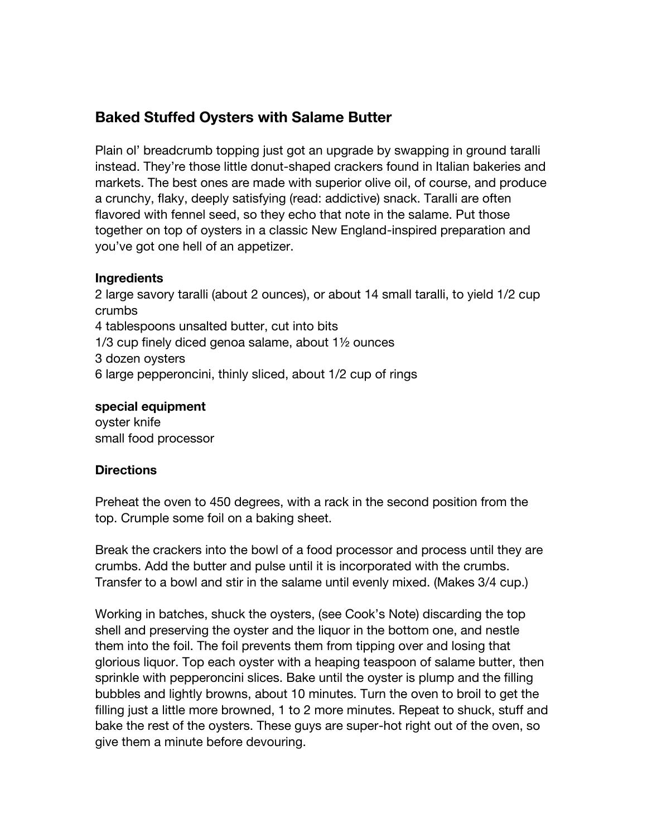# **Baked Stuffed Oysters with Salame Butter**

Plain ol' breadcrumb topping just got an upgrade by swapping in ground taralli instead. They're those little donut-shaped crackers found in Italian bakeries and markets. The best ones are made with superior olive oil, of course, and produce a crunchy, flaky, deeply satisfying (read: addictive) snack. Taralli are often flavored with fennel seed, so they echo that note in the salame. Put those together on top of oysters in a classic New England-inspired preparation and you've got one hell of an appetizer.

## **Ingredients**

2 large savory taralli (about 2 ounces), or about 14 small taralli, to yield 1/2 cup crumbs 4 tablespoons unsalted butter, cut into bits 1/3 cup finely diced genoa salame, about 1½ ounces 3 dozen oysters 6 large pepperoncini, thinly sliced, about 1/2 cup of rings

## **special equipment**

oyster knife small food processor

## **Directions**

Preheat the oven to 450 degrees, with a rack in the second position from the top. Crumple some foil on a baking sheet.

Break the crackers into the bowl of a food processor and process until they are crumbs. Add the butter and pulse until it is incorporated with the crumbs. Transfer to a bowl and stir in the salame until evenly mixed. (Makes 3/4 cup.)

Working in batches, shuck the oysters, (see Cook's Note) discarding the top shell and preserving the oyster and the liquor in the bottom one, and nestle them into the foil. The foil prevents them from tipping over and losing that glorious liquor. Top each oyster with a heaping teaspoon of salame butter, then sprinkle with pepperoncini slices. Bake until the oyster is plump and the filling bubbles and lightly browns, about 10 minutes. Turn the oven to broil to get the filling just a little more browned, 1 to 2 more minutes. Repeat to shuck, stuff and bake the rest of the oysters. These guys are super-hot right out of the oven, so give them a minute before devouring.